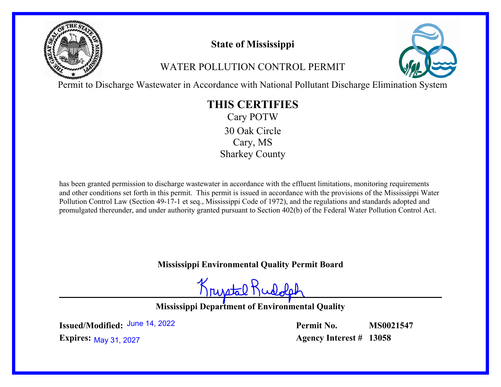

# **State of Mississippi**

# WATER POLLUTION CONTROL PERMIT



Permit to Discharge Wastewater in Accordance with National Pollutant Discharge Elimination System

# **THIS CERTIFIES**

Cary POTW Cary, MS Sharkey County 30 Oak Circle

has been granted permission to discharge wastewater in accordance with the effluent limitations, monitoring requirements and other conditions set forth in this permit. This permit is issued in accordance with the provisions of the Mississippi Water Pollution Control Law (Section 49-17-1 et seq., Mississippi Code of 1972), and the regulations and standards adopted and promulgated thereunder, and under authority granted pursuant to Section 402(b) of the Federal Water Pollution Control Act.

# **Mississippi Environmental Quality Permit Board**

Krustal Rudo

**Mississippi Department of Environmental Quality**

**Issued/Modified:** June 14, 2022

**Permit No. Agency Interest # 13058 MS0021547**

**Expires:** May 31, 2027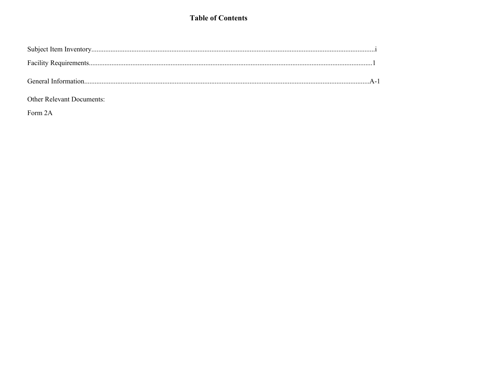### **Table of Contents**

### Other Relevant Documents:

Form 2A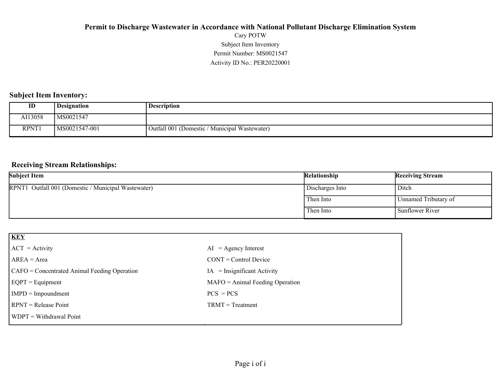### Activity ID No.: PER20220001 Permit Number: MS0021547 Subject Item Inventory Cary POTW **Permit to Discharge Wastewater in Accordance with National Pollutant Discharge Elimination System**

#### **Subject Item Inventory:**

| ID      | <b>Designation</b> | Description                                   |
|---------|--------------------|-----------------------------------------------|
| AI13058 | MS0021547          |                                               |
| RPNT1   | MS0021547-001      | Outfall 001 (Domestic / Municipal Wastewater) |

#### **Receiving Stream Relationships:**

| <b>Subject Item</b>                                 | Relationship    | <b>Receiving Stream</b> |
|-----------------------------------------------------|-----------------|-------------------------|
| RPNT1 Outfall 001 (Domestic / Municipal Wastewater) | Discharges Into | ' Ditch                 |
|                                                     | Then Into       | Unnamed Tributary of    |
|                                                     | Then Into       | Sunflower River         |

| <b>KEY</b>                                   |                                   |
|----------------------------------------------|-----------------------------------|
| $ ACT = Activity$                            | $AI = Agency Interest$            |
| $AREA = Area$                                | $CONT = Control$ Device           |
| CAFO = Concentrated Animal Feeding Operation | $IA = Insignificant Activity$     |
| $EQPT = Equipment$                           | $MAFO = Animal Feeding Operation$ |
| $IMPD = Important$                           | $PCS = PCs$                       |
| $RPNT = Release Point$                       | $TRMT = Treatment$                |
| WDPT = Withdrawal Point                      |                                   |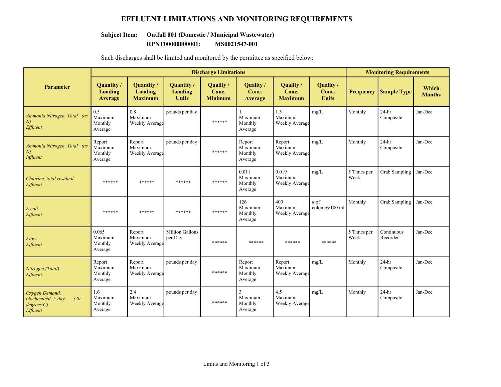### **EFFLUENT LIMITATIONS AND MONITORING REQUIREMENTS**

## **Subject Item: Outfall 001 (Domestic / Municipal Wastewater)**

**RPNT00000000001: MS0021547-001**

|                                                                        |                                         |                                                |                                       | <b>Discharge Limitations</b>         |                                         |                                      |                                    |                     | <b>Monitoring Requirements</b> |                        |
|------------------------------------------------------------------------|-----------------------------------------|------------------------------------------------|---------------------------------------|--------------------------------------|-----------------------------------------|--------------------------------------|------------------------------------|---------------------|--------------------------------|------------------------|
| <b>Parameter</b>                                                       | Quantity/<br><b>Loading</b><br>Average  | Quantity /<br><b>Loading</b><br><b>Maximum</b> | Quantity /<br>Loading<br><b>Units</b> | Quality /<br>Conc.<br><b>Minimum</b> | Quality /<br>Conc.<br><b>Average</b>    | Quality /<br>Conc.<br><b>Maximum</b> | Quality /<br>Conc.<br><b>Units</b> | <b>Frequency</b>    | <b>Sample Type</b>             | Which<br><b>Months</b> |
| Ammonia Nitrogen, Total (as<br>N<br>Effluent                           | 0.5<br>Maximum<br>Monthly<br>Average    | $0.8\,$<br>Maximum<br>Weekly Average           | pounds per day                        | ******                               | Maximum<br>Monthly<br>Average           | 1.5<br>Maximum<br>Weekly Average     | mg/L                               | Monthly             | $24-hr$<br>Composite           | Jan-Dec                |
| Ammonia Nitrogen, Total (as<br>N<br>Influent                           | Report<br>Maximum<br>Monthly<br>Average | Report<br>Maximum<br>Weekly Average            | pounds per day                        | ******                               | Report<br>Maximum<br>Monthly<br>Average | Report<br>Maximum<br>Weekly Average  | mg/L                               | Monthly             | $24-hr$<br>Composite           | Jan-Dec                |
| Chlorine, total residual<br>Effluent                                   | ******                                  | ******                                         | ******                                | ******                               | 0.011<br>Maximum<br>Monthly<br>Average  | 0.019<br>Maximum<br>Weekly Average   | mg/L                               | 5 Times per<br>Week | <b>Grab Sampling</b>           | Jan-Dec                |
| E coli<br>Effluent                                                     | ******                                  | ******                                         | ******                                | ******                               | 126<br>Maximum<br>Monthly<br>Average    | 400<br>Maximum<br>Weekly Average     | $#$ of<br>colonies/100 ml          | Monthly             | <b>Grab Sampling</b>           | Jan-Dec                |
| Flow<br>Effluent                                                       | 0.065<br>Maximum<br>Monthly<br>Average  | Report<br>Maximum<br>Weekly Average            | Million Gallons<br>per Day            | ******                               | ******                                  | ******                               | ******                             | 5 Times per<br>Week | Continuous<br>Recorder         | Jan-Dec                |
| Nitrogen (Total)<br>Effluent                                           | Report<br>Maximum<br>Monthly<br>Average | Report<br>Maximum<br>Weekly Average            | pounds per day                        | ******                               | Report<br>Maximum<br>Monthly<br>Average | Report<br>Maximum<br>Weekly Average  | mg/L                               | Monthly             | $24-hr$<br>Composite           | Jan-Dec                |
| Oxygen Demand,<br>biochemical, 5-day<br>(20)<br>degrees C)<br>Effluent | 1.6<br>Maximum<br>Monthly<br>Average    | 2.4<br>Maximum<br><b>Weekly Average</b>        | pounds per day                        | ******                               | 3<br>Maximum<br>Monthly<br>Average      | 4.5<br>Maximum<br>Weekly Average     | mg/L                               | Monthly             | $24-hr$<br>Composite           | Jan-Dec                |

Such discharges shall be limited and monitored by the permittee as specified below: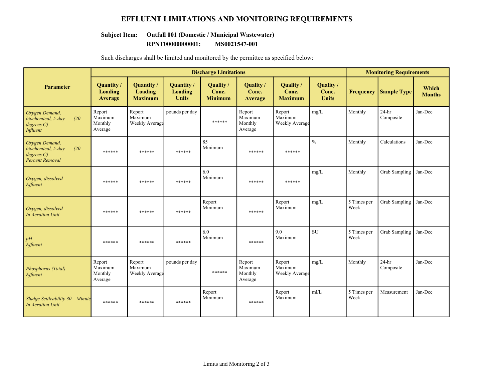### **EFFLUENT LIMITATIONS AND MONITORING REQUIREMENTS**

# **Subject Item: Outfall 001 (Domestic / Municipal Wastewater)**

**RPNT00000000001: MS0021547-001**

|                                                                                   |                                         |                                         | <b>Discharge Limitations</b>          |                                      |                                         |                                      |                                    | <b>Monitoring Requirements</b> |                      |                        |
|-----------------------------------------------------------------------------------|-----------------------------------------|-----------------------------------------|---------------------------------------|--------------------------------------|-----------------------------------------|--------------------------------------|------------------------------------|--------------------------------|----------------------|------------------------|
| Parameter                                                                         | Quantity/<br>Loading<br>Average         | Quantity /<br>Loading<br><b>Maximum</b> | Quantity /<br>Loading<br><b>Units</b> | Quality /<br>Conc.<br><b>Minimum</b> | Quality /<br>Conc.<br>Average           | Quality /<br>Conc.<br><b>Maximum</b> | Quality /<br>Conc.<br><b>Units</b> | <b>Frequency</b>               | <b>Sample Type</b>   | Which<br><b>Months</b> |
| Oxygen Demand,<br>biochemical, 5-day<br>(20)<br>degrees C)<br>Influent            | Report<br>Maximum<br>Monthly<br>Average | Report<br>Maximum<br>Weekly Average     | pounds per day                        | ******                               | Report<br>Maximum<br>Monthly<br>Average | Report<br>Maximum<br>Weekly Average  | mg/L                               | Monthly                        | $24-hr$<br>Composite | Jan-Dec                |
| Oxygen Demand,<br>biochemical, 5-day<br>(20)<br>degreeC<br><b>Percent Removal</b> | ******                                  | ******                                  | ******                                | 85<br>Minimum                        | ******                                  | ******                               | $\frac{0}{0}$                      | Monthly                        | Calculations         | Jan-Dec                |
| Oxygen, dissolved<br>Effluent                                                     | ******                                  | ******                                  | ******                                | 6.0<br>Minimum                       | ******                                  | ******                               | mg/L                               | Monthly                        | <b>Grab Sampling</b> | Jan-Dec                |
| Oxygen, dissolved<br><b>In Aeration Unit</b>                                      | ******                                  | ******                                  | ******                                | Report<br>Minimum                    | ******                                  | Report<br>Maximum                    | mg/L                               | 5 Times per<br>Week            | Grab Sampling        | Jan-Dec                |
| pH<br>Effluent                                                                    | ******                                  | ******                                  | ******                                | 6.0<br>Minimum                       | ******                                  | 9.0<br>Maximum                       | <b>SU</b>                          | 5 Times per<br>Week            | Grab Sampling        | Jan-Dec                |
| Phosphorus (Total)<br>Effluent                                                    | Report<br>Maximum<br>Monthly<br>Average | Report<br>Maximum<br>Weekly Average     | pounds per day                        | ******                               | Report<br>Maximum<br>Monthly<br>Average | Report<br>Maximum<br>Weekly Average  | mg/L                               | Monthly                        | $24-hr$<br>Composite | Jan-Dec                |
| Sludge Settleability 30 Minute<br><b>In Aeration Unit</b>                         | ******                                  | ******                                  | ******                                | Report<br>Minimum                    | ******                                  | Report<br>Maximum                    | m/L                                | 5 Times per<br>Week            | Measurement          | Jan-Dec                |

Such discharges shall be limited and monitored by the permittee as specified below: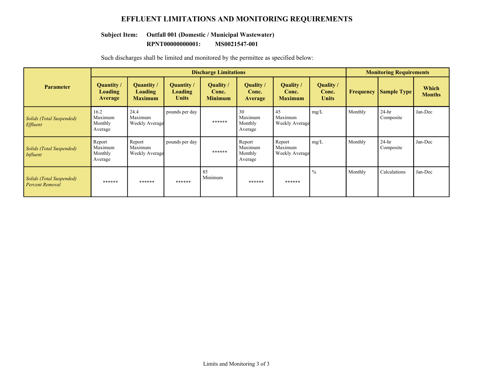### **EFFLUENT LIMITATIONS AND MONITORING REQUIREMENTS**

# **Subject Item: Outfall 001 (Domestic / Municipal Wastewater)**

**RPNT00000000001: MS0021547-001**

|                                                    |                                         |                                          |                                              | <b>Discharge Limitations</b>         |                                         |                                        |                                    |                  | <b>Monitoring Requirements</b> |                        |
|----------------------------------------------------|-----------------------------------------|------------------------------------------|----------------------------------------------|--------------------------------------|-----------------------------------------|----------------------------------------|------------------------------------|------------------|--------------------------------|------------------------|
| <b>Parameter</b>                                   | Quantity /<br>Loading<br>Average        | Quantity /<br>Loading<br><b>Maximum</b>  | Quantity /<br><b>Loading</b><br><b>Units</b> | Quality /<br>Conc.<br><b>Minimum</b> | Quality /<br>Conc.<br><b>Average</b>    | Quality /<br>Conc.<br><b>Maximum</b>   | Quality /<br>Conc.<br><b>Units</b> | <b>Frequency</b> | <b>Sample Type</b>             | Which<br><b>Months</b> |
| Solids (Total Suspended)<br>Effluent               | 16.2<br>Maximum<br>Monthly<br>Average   | 24.4<br>Maximum<br><b>Weekly Average</b> | pounds per day                               | ******                               | 30<br>Maximum<br>Monthly<br>Average     | 45<br>Maximum<br><b>Weekly Average</b> | mg/L                               | Monthly          | $24-hr$<br>Composite           | Jan-Dec                |
| Solids (Total Suspended)<br>Influent               | Report<br>Maximum<br>Monthly<br>Average | Report<br>Maximum<br>Weekly Average      | pounds per day                               | ******                               | Report<br>Maximum<br>Monthly<br>Average | Report<br>Maximum<br>Weekly Average    | mg/L                               | Monthly          | $24-hr$<br>Composite           | Jan-Dec                |
| Solids (Total Suspended)<br><b>Percent Removal</b> | ******                                  | ******                                   | ******                                       | 85<br>Minimum                        | ******                                  | ******                                 | $\frac{0}{0}$                      | Monthly          | Calculations                   | Jan-Dec                |

Such discharges shall be limited and monitored by the permittee as specified below: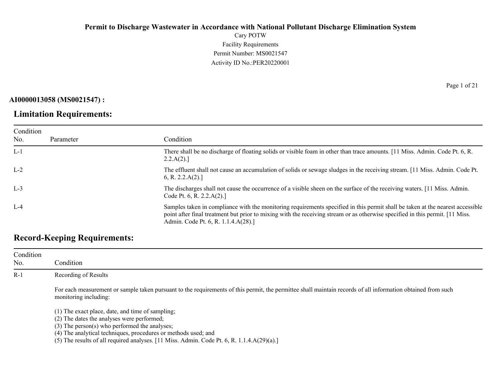Cary POTW Facility Requirements Permit Number: MS0021547 Activity ID No.:PER20220001

**AI0000013058 (MS0021547) :**

### **Limitation Requirements:**

Condition No. Parameter Condition L-1 There shall be no discharge of floating solids or visible foam in other than trace amounts. [11 Miss. Admin. Code Pt. 6, R.  $2.2.A(2).$ ] L-2 The effluent shall not cause an accumulation of solids or sewage sludges in the receiving stream. [11 Miss. Admin. Code Pt. 6, R. 2.2.A(2).] L-3 The discharges shall not cause the occurrence of a visible sheen on the surface of the receiving waters. [11 Miss. Admin. Code Pt. 6, R. 2.2.A(2).] L-4 Samples taken in compliance with the monitoring requirements specified in this permit shall be taken at the nearest accessible point after final treatment but prior to mixing with the receiving stream or as otherwise specified in this permit. [11 Miss. Admin. Code Pt. 6, R. 1.1.4.A(28).]

## **Record-Keeping Requirements:**

| Condition<br>No. | Condition                                                                                                                                                                             |
|------------------|---------------------------------------------------------------------------------------------------------------------------------------------------------------------------------------|
| $R-1$            | Recording of Results                                                                                                                                                                  |
|                  | For each measurement or sample taken pursuant to the requirements of this permit, the permittee shall maintain records of all information obtained from such<br>monitoring including: |
|                  | (1) The exact place, date, and time of sampling;                                                                                                                                      |
|                  | (2) The dates the analyses were performed;                                                                                                                                            |
|                  | $(3)$ The person $(s)$ who performed the analyses;                                                                                                                                    |
|                  | (4) The analytical techniques, procedures or methods used; and                                                                                                                        |
|                  | (5) The results of all required analyses. $[11 \text{ Miss. } \text{Admin. } \text{Code Pt. } 6, \text{R. } 1.1.4 \text{A}(29)(a).]$                                                  |

Page 1 of 21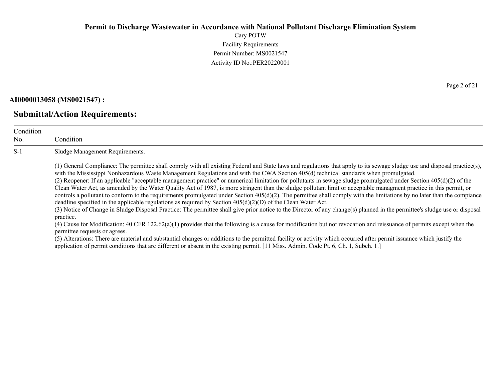Cary POTW Facility Requirements Permit Number: MS0021547 Activity ID No.:PER20220001

### **AI0000013058 (MS0021547) :**

### **Submittal/Action Requirements:**

| Condition<br>No. | Condition                                                                                                                                                                                                                                                                                                                                                                                                                                                                                                                                                                                                                                                                                                                                                                                                                                                                                                                                                                                                                                                                                                                                                                                                                                                                                                                                                                                                                                                                                                                                                                                                            |
|------------------|----------------------------------------------------------------------------------------------------------------------------------------------------------------------------------------------------------------------------------------------------------------------------------------------------------------------------------------------------------------------------------------------------------------------------------------------------------------------------------------------------------------------------------------------------------------------------------------------------------------------------------------------------------------------------------------------------------------------------------------------------------------------------------------------------------------------------------------------------------------------------------------------------------------------------------------------------------------------------------------------------------------------------------------------------------------------------------------------------------------------------------------------------------------------------------------------------------------------------------------------------------------------------------------------------------------------------------------------------------------------------------------------------------------------------------------------------------------------------------------------------------------------------------------------------------------------------------------------------------------------|
| $S-1$            | Sludge Management Requirements.                                                                                                                                                                                                                                                                                                                                                                                                                                                                                                                                                                                                                                                                                                                                                                                                                                                                                                                                                                                                                                                                                                                                                                                                                                                                                                                                                                                                                                                                                                                                                                                      |
|                  | (1) General Compliance: The permittee shall comply with all existing Federal and State laws and regulations that apply to its sewage sludge use and disposal practice(s),<br>with the Mississippi Nonhazardous Waste Management Regulations and with the CWA Section 405(d) technical standards when promulgated.<br>(2) Reopener: If an applicable "acceptable management practice" or numerical limitation for pollutants in sewage sludge promulgated under Section 405(d)(2) of the<br>Clean Water Act, as amended by the Water Quality Act of 1987, is more stringent than the sludge pollutant limit or acceptable managment practice in this permit, or<br>controls a pollutant to conform to the requirements promulgated under Section $405(d)(2)$ . The permittee shall comply with the limitations by no later than the compiance<br>deadline specified in the applicable regulations as required by Section $405(d)(2)(D)$ of the Clean Water Act.<br>(3) Notice of Change in Sludge Disposal Practice: The permittee shall give prior notice to the Director of any change(s) planned in the permittee's sludge use or disposal<br>practice.<br>(4) Cause for Modification: 40 CFR $122.62(a)(1)$ provides that the following is a cause for modification but not revocation and reissuance of permits except when the<br>permittee requests or agrees.<br>$\mathcal{L}$ . A homelouse These we model is a short change of a shifted to the constructed $\mathcal{L}$ of the constructed $\mathcal{L}$ . A short computed is a small form of the following the state of the state of the state of the s |

(5) Alterations: There are material and substantial changes or additions to the permitted facility or activity which occurred after permit issuance which justify the application of permit conditions that are different or absent in the existing permit. [11 Miss. Admin. Code Pt. 6, Ch. 1, Subch. 1.]

Page 2 of 21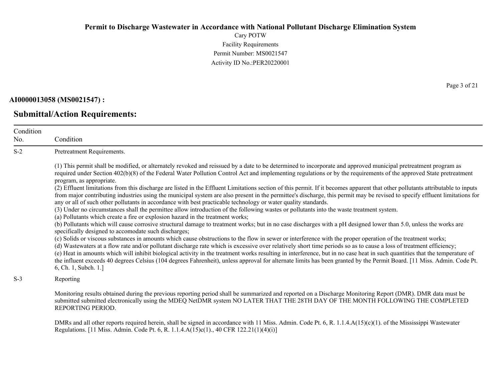Cary POTW Facility Requirements Permit Number: MS0021547 Activity ID No.:PER20220001

#### **AI0000013058 (MS0021547) :**

### **Submittal/Action Requirements:**

Condition Condition S-2 Pretreatment Requirements. (1) This permit shall be modified, or alternately revoked and reissued by a date to be determined to incorporate and approved municipal pretreatment program as required under Section 402(b)(8) of the Federal Water Pollution Control Act and implementing regulations or by the requirements of the approved State pretreatment program, as appropriate. (2) Effluent limitations from this discharge are listed in the Effluent Limitations section of this permit. If it becomes apparent that other pollutants attributable to inputs from major contributing industries using the municipal system are also present in the permittee's discharge, this permit may be revised to specify effluent limitations for any or all of such other pollutants in accordance with best practicable technology or water quality standards. (3) Under no circumstances shall the permittee allow introduction of the following wastes or pollutants into the waste treatment system. (a) Pollutants which create a fire or explosion hazard in the treatment works; (b) Pollutants which will cause corrosive structural damage to treatment works; but in no case discharges with a pH designed lower than 5.0, unless the works are specifically designed to accomodate such discharges; (c) Solids or viscous substances in amounts which cause obstructions to the flow in sewer or interference with the proper operation of the treatment works; (d) Wastewaters at a flow rate and/or pollutant discharge rate which is excessive over relatively short time periods so as to cause a loss of treatment efficiency; (e) Heat in amounts which will inhibit biological activity in the treatment works resulting in interference, but in no case heat in such quantities that the temperature of the influent exceeds 40 degrees Celsius (104 degrees Fahrenheit), unless approval for alternate limits has been granted by the Permit Board. [11 Miss. Admin. Code Pt. 6, Ch. 1, Subch. 1.]

S-3 Reporting

No.

Monitoring results obtained during the previous reporting period shall be summarized and reported on a Discharge Monitoring Report (DMR). DMR data must be submitted submitted electronically using the MDEQ NetDMR system NO LATER THAT THE 28TH DAY OF THE MONTH FOLLOWING THE COMPLETED REPORTING PERIOD.

DMRs and all other reports required herein, shall be signed in accordance with 11 Miss. Admin. Code Pt. 6, R. 1.1.4.A(15)(c)(1). of the Mississippi Wastewater Regulations. [11 Miss. Admin. Code Pt. 6, R. 1.1.4.A(15)c(1)., 40 CFR 122.21(1)(4)(i)]

Page 3 of 21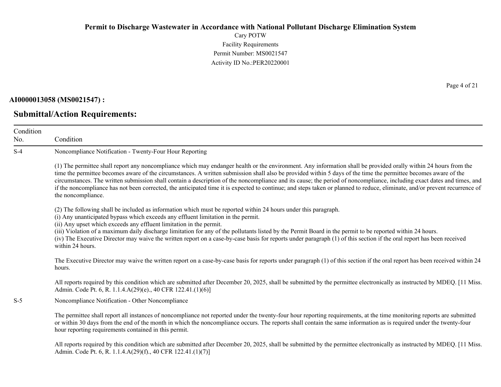Cary POTW Facility Requirements Permit Number: MS0021547 Activity ID No.:PER20220001

#### **AI0000013058 (MS0021547) :**

### **Submittal/Action Requirements:**

Condition No. Condition S-4 Noncompliance Notification - Twenty-Four Hour Reporting (1) The permittee shall report any noncompliance which may endanger health or the environment. Any information shall be provided orally within 24 hours from the time the permittee becomes aware of the circumstances. A written submission shall also be provided within 5 days of the time the permittee becomes aware of the circumstances. The written submission shall contain a description of the noncompliance and its cause; the period of noncompliance, including exact dates and times, and if the noncompliance has not been corrected, the anticipated time it is expected to continue; and steps taken or planned to reduce, eliminate, and/or prevent recurrence of the noncompliance. (2) The following shall be included as information which must be reported within 24 hours under this paragraph. (i) Any unanticipated bypass which exceeds any effluent limitation in the permit. (ii) Any upset which exceeds any effluent limitation in the permit. (iii) Violation of a maximum daily discharge limitation for any of the pollutants listed by the Permit Board in the permit to be reported within 24 hours. (iv) The Executive Director may waive the written report on a case-by-case basis for reports under paragraph (1) of this section if the oral report has been received within 24 hours. The Executive Director may waive the written report on a case-by-case basis for reports under paragraph (1) of this section if the oral report has been received within 24 hours. All reports required by this condition which are submitted after December 20, 2025, shall be submitted by the permittee electronically as instructed by MDEQ. [11 Miss.] Admin. Code Pt. 6, R. 1.1.4.A(29)(e)., 40 CFR 122.41.(1)(6)] S-5 Noncompliance Notification - Other Noncompliance The permittee shall report all instances of noncompliance not reported under the twenty-four hour reporting requirements, at the time monitoring reports are submitted or within 30 days from the end of the month in which the noncompliance occurs. The reports shall contain the same information as is required under the twenty-four hour reporting requirements contained in this permit.

All reports required by this condition which are submitted after December 20, 2025, shall be submitted by the permittee electronically as instructed by MDEQ. [11 Miss.] Admin. Code Pt. 6, R. 1.1.4.A(29)(f)., 40 CFR 122.41.(1)(7)]

Page 4 of 21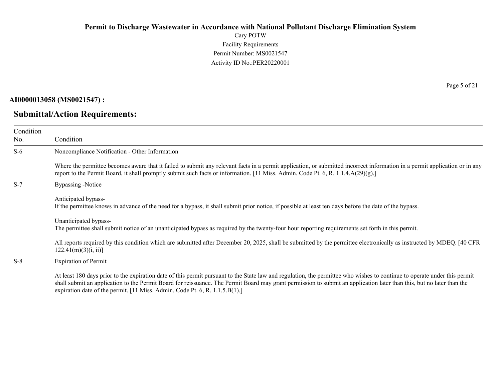Cary POTW Facility Requirements Permit Number: MS0021547 Activity ID No.:PER20220001

### **AI0000013058 (MS0021547) :**

### **Submittal/Action Requirements:**

Page 5 of 21

| Condition<br>No. | Condition                                                                                                                                                                                                                                                                                                                                                                                                                         |
|------------------|-----------------------------------------------------------------------------------------------------------------------------------------------------------------------------------------------------------------------------------------------------------------------------------------------------------------------------------------------------------------------------------------------------------------------------------|
| $S-6$            | Noncompliance Notification - Other Information                                                                                                                                                                                                                                                                                                                                                                                    |
|                  | Where the permittee becomes aware that it failed to submit any relevant facts in a permit application, or submitted incorrect information in a permit application or in any<br>report to the Permit Board, it shall promptly submit such facts or information. [11 Miss. Admin. Code Pt. 6, R. 1.1.4. $A(29)(g)$ .]                                                                                                               |
| $S-7$            | Bypassing -Notice                                                                                                                                                                                                                                                                                                                                                                                                                 |
|                  | Anticipated bypass-<br>If the permittee knows in advance of the need for a bypass, it shall submit prior notice, if possible at least ten days before the date of the bypass.                                                                                                                                                                                                                                                     |
|                  | Unanticipated bypass-<br>The permittee shall submit notice of an unanticipated bypass as required by the twenty-four hour reporting requirements set forth in this permit.                                                                                                                                                                                                                                                        |
|                  | All reports required by this condition which are submitted after December 20, 2025, shall be submitted by the permittee electronically as instructed by MDEQ. [40 CFR<br>122.41(m)(3)(i, ii)                                                                                                                                                                                                                                      |
| $S-8$            | <b>Expiration of Permit</b>                                                                                                                                                                                                                                                                                                                                                                                                       |
|                  | At least 180 days prior to the expiration date of this permit pursuant to the State law and regulation, the permittee who wishes to continue to operate under this permit<br>shall submit an application to the Permit Board for reissuance. The Permit Board may grant permission to submit an application later than this, but no later than the<br>expiration date of the permit. [11 Miss. Admin. Code Pt. 6, R. 1.1.5.B(1).] |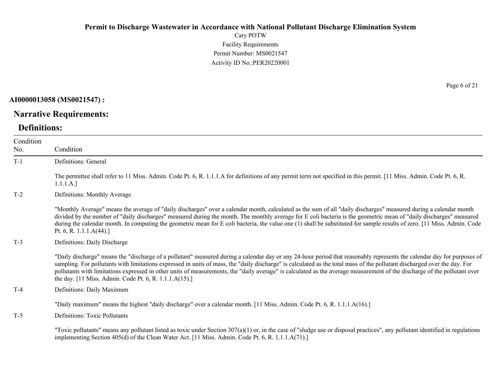Cary POTW Facility Requirements Permit Number: MS0021547 Activity ID No.:PER20220001

### **AI0000013058 (MS0021547) :**

# **Narrative Requirements:**

## **Definitions:**

| Condition<br>No. | Condition                                                                                                                                                                                                                                                                                                                                                                                                                                                                                                                                                                                   |
|------------------|---------------------------------------------------------------------------------------------------------------------------------------------------------------------------------------------------------------------------------------------------------------------------------------------------------------------------------------------------------------------------------------------------------------------------------------------------------------------------------------------------------------------------------------------------------------------------------------------|
| $T-1$            | Definitions: General                                                                                                                                                                                                                                                                                                                                                                                                                                                                                                                                                                        |
|                  | The permittee shall refer to 11 Miss. Admin. Code Pt. 6, R. 1.1.1.A for definitions of any permit term not specified in this permit. [11 Miss. Admin. Code Pt. 6, R.<br>1.1.1.A.]                                                                                                                                                                                                                                                                                                                                                                                                           |
| $T-2$            | Definitions: Monthly Average                                                                                                                                                                                                                                                                                                                                                                                                                                                                                                                                                                |
|                  | "Monthly Average" means the average of "daily discharges" over a calendar month, calculated as the sum of all "daily discharges" measured during a calendar month<br>divided by the number of "daily discharges" measured during the month. The monthly average for E coli bacteria is the geometric mean of "daily discharges" measured<br>during the calendar month. In computing the geometric mean for E coli bacteria, the value one (1) shall be substituted for sample results of zero. [11 Miss. Admin. Code<br>Pt. 6, R. 1.1.1. $A(44)$ .]                                         |
| $T-3$            | Definitions: Daily Discharge                                                                                                                                                                                                                                                                                                                                                                                                                                                                                                                                                                |
|                  | "Daily discharge" means the "discharge of a pollutant" measured during a calendar day or any 24-hour period that reasonably represents the calendar day for purposes of<br>sampling. For pollutants with limitations expressed in units of mass, the "daily discharge" is calculated as the total mass of the pollutant discharged over the day. For<br>pollutants with limitations expressed in other units of measurements, the "daily average" is calculated as the average measurement of the discharge of the pollutant over<br>the day. [11 Miss. Admin. Code Pt. 6, R. 1.1.1.A(15).] |
| $T-4$            | Definitions: Daily Maximum                                                                                                                                                                                                                                                                                                                                                                                                                                                                                                                                                                  |
|                  | "Daily maximum" means the highest "daily discharge" over a calendar month. [11 Miss. Admin. Code Pt. 6, R. 1.1.1.A(16).]                                                                                                                                                                                                                                                                                                                                                                                                                                                                    |
| $T-5$            | Definitions: Toxic Pollutants                                                                                                                                                                                                                                                                                                                                                                                                                                                                                                                                                               |
|                  | "Toxic pollutants" means any pollutant listed as toxic under Section $307(a)(1)$ or, in the case of "sludge use or disposal practices", any pollutant identified in regulations<br>implementing Section 405(d) of the Clean Water Act. [11 Miss. Admin. Code Pt. 6, R. 1.1.1.A(71).]                                                                                                                                                                                                                                                                                                        |

Page 6 of 21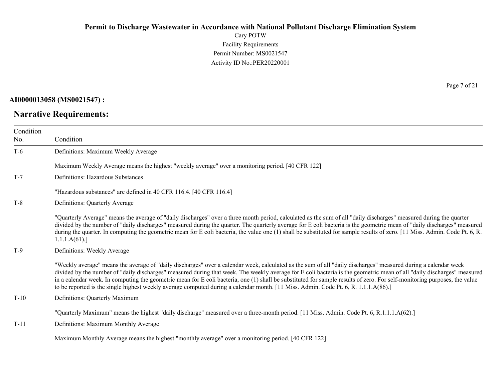Cary POTW Facility Requirements Permit Number: MS0021547 Activity ID No.:PER20220001

### **AI0000013058 (MS0021547) :**

### **Narrative Requirements:**

Page 7 of 21

| Condition<br>No. | Condition                                                                                                                                                                                                                                                                                                                                                                                                                                                                                                                                                                                                                                                    |
|------------------|--------------------------------------------------------------------------------------------------------------------------------------------------------------------------------------------------------------------------------------------------------------------------------------------------------------------------------------------------------------------------------------------------------------------------------------------------------------------------------------------------------------------------------------------------------------------------------------------------------------------------------------------------------------|
| $T-6$            | Definitions: Maximum Weekly Average                                                                                                                                                                                                                                                                                                                                                                                                                                                                                                                                                                                                                          |
|                  | Maximum Weekly Average means the highest "weekly average" over a monitoring period. [40 CFR 122]                                                                                                                                                                                                                                                                                                                                                                                                                                                                                                                                                             |
| $T-7$            | Definitions: Hazardous Substances                                                                                                                                                                                                                                                                                                                                                                                                                                                                                                                                                                                                                            |
|                  | "Hazardous substances" are defined in 40 CFR 116.4. [40 CFR 116.4]                                                                                                                                                                                                                                                                                                                                                                                                                                                                                                                                                                                           |
| $T-8$            | Definitions: Quarterly Average                                                                                                                                                                                                                                                                                                                                                                                                                                                                                                                                                                                                                               |
|                  | "Quarterly Average" means the average of "daily discharges" over a three month period, calculated as the sum of all "daily discharges" measured during the quarter<br>divided by the number of "daily discharges" measured during the quarter. The quarterly average for E coli bacteria is the geometric mean of "daily discharges" measured<br>during the quarter. In computing the geometric mean for E coli bacteria, the value one (1) shall be substituted for sample results of zero. [11 Miss. Admin. Code Pt. 6, R.<br>1.1.1.A(61).                                                                                                                 |
| $T-9$            | Definitions: Weekly Average                                                                                                                                                                                                                                                                                                                                                                                                                                                                                                                                                                                                                                  |
|                  | "Weekly average" means the average of "daily discharges" over a calendar week, calculated as the sum of all "daily discharges" measured during a calendar week<br>divided by the number of "daily discharges" measured during that week. The weekly average for E coli bacteria is the geometric mean of all "daily discharges" measured<br>in a calendar week. In computing the geometric mean for E coli bacteria, one (1) shall be substituted for sample results of zero. For self-monitoring purposes, the value<br>to be reported is the single highest weekly average computed during a calendar month. [11 Miss. Admin. Code Pt. 6, R. 1.1.1.A(86).] |
| $T-10$           | Definitions: Quarterly Maximum                                                                                                                                                                                                                                                                                                                                                                                                                                                                                                                                                                                                                               |
|                  | "Quarterly Maximum" means the highest "daily discharge" measured over a three-month period. [11 Miss. Admin. Code Pt. 6, R.1.1.1.A(62).]                                                                                                                                                                                                                                                                                                                                                                                                                                                                                                                     |
| $T-11$           | Definitions: Maximum Monthly Average                                                                                                                                                                                                                                                                                                                                                                                                                                                                                                                                                                                                                         |
|                  | Maximum Monthly Average means the highest "monthly average" over a monitoring period. [40 CFR 122]                                                                                                                                                                                                                                                                                                                                                                                                                                                                                                                                                           |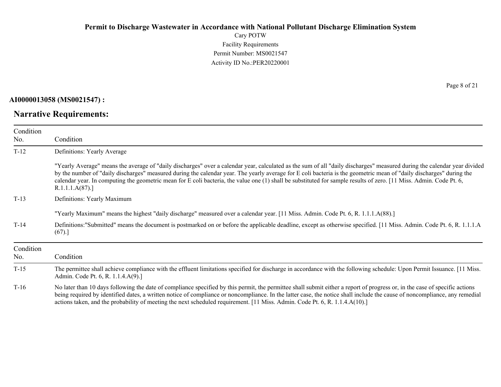Cary POTW Facility Requirements Permit Number: MS0021547 Activity ID No.:PER20220001

### **AI0000013058 (MS0021547) :**

# **Narrative Requirements:**

Page 8 of 21

| Condition |                                                                                                                                                                                                                                                                                                                                                                                                                                                                                                                                           |
|-----------|-------------------------------------------------------------------------------------------------------------------------------------------------------------------------------------------------------------------------------------------------------------------------------------------------------------------------------------------------------------------------------------------------------------------------------------------------------------------------------------------------------------------------------------------|
| No.       | Condition                                                                                                                                                                                                                                                                                                                                                                                                                                                                                                                                 |
| $T-12$    | Definitions: Yearly Average                                                                                                                                                                                                                                                                                                                                                                                                                                                                                                               |
|           | "Yearly Average" means the average of "daily discharges" over a calendar year, calculated as the sum of all "daily discharges" measured during the calendar year divided<br>by the number of "daily discharges" measured during the calendar year. The yearly average for E coli bacteria is the geometric mean of "daily discharges" during the<br>calendar year. In computing the geometric mean for E coli bacteria, the value one (1) shall be substituted for sample results of zero. [11 Miss. Admin. Code Pt. 6,<br>R.1.1.1.A(87). |
| $T-13$    | Definitions: Yearly Maximum                                                                                                                                                                                                                                                                                                                                                                                                                                                                                                               |
|           | "Yearly Maximum" means the highest "daily discharge" measured over a calendar year. [11 Miss. Admin. Code Pt. 6, R. 1.1.1.A(88).]                                                                                                                                                                                                                                                                                                                                                                                                         |
| $T-14$    | Definitions:"Submitted" means the document is postmarked on or before the applicable deadline, except as otherwise specified. [11 Miss. Admin. Code Pt. 6, R. 1.1.1.A<br>(67).                                                                                                                                                                                                                                                                                                                                                            |
| Condition |                                                                                                                                                                                                                                                                                                                                                                                                                                                                                                                                           |
| No.       | Condition                                                                                                                                                                                                                                                                                                                                                                                                                                                                                                                                 |
| $T-15$    | The permittee shall achieve compliance with the effluent limitations specified for discharge in accordance with the following schedule: Upon Permit Issuance. [11 Miss.]<br>Admin. Code Pt. 6, R. 1.1.4.A(9).]                                                                                                                                                                                                                                                                                                                            |
| $T-16$    | No later than 10 days following the date of compliance specified by this permit, the permittee shall submit either a report of progress or, in the case of specific actions<br>being required by identified dates, a written notice of compliance or noncompliance. In the latter case, the notice shall include the cause of noncompliance, any remedial<br>actions taken, and the probability of meeting the next scheduled requirement. [11 Miss. Admin. Code Pt. 6, R. 1.1.4.A(10).]                                                  |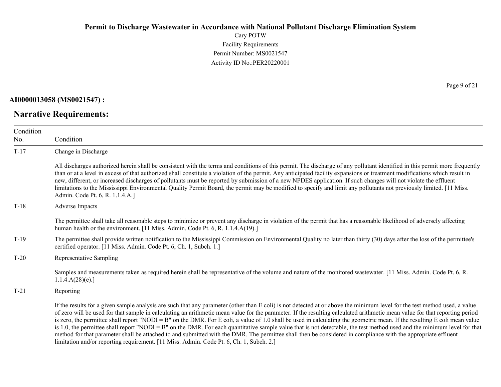Cary POTW Facility Requirements Permit Number: MS0021547 Activity ID No.:PER20220001

#### **AI0000013058 (MS0021547) :**

### **Narrative Requirements:**

Page 9 of 21

| Condition |                                                                                                                                                                                                                                                                                                                                                                                                                                                                                                                                                                                                                                                                                                                                                                                                                                                                                                                                                                                |
|-----------|--------------------------------------------------------------------------------------------------------------------------------------------------------------------------------------------------------------------------------------------------------------------------------------------------------------------------------------------------------------------------------------------------------------------------------------------------------------------------------------------------------------------------------------------------------------------------------------------------------------------------------------------------------------------------------------------------------------------------------------------------------------------------------------------------------------------------------------------------------------------------------------------------------------------------------------------------------------------------------|
| No.       | Condition                                                                                                                                                                                                                                                                                                                                                                                                                                                                                                                                                                                                                                                                                                                                                                                                                                                                                                                                                                      |
| $T-17$    | Change in Discharge                                                                                                                                                                                                                                                                                                                                                                                                                                                                                                                                                                                                                                                                                                                                                                                                                                                                                                                                                            |
|           | All discharges authorized herein shall be consistent with the terms and conditions of this permit. The discharge of any pollutant identified in this permit more frequently<br>than or at a level in excess of that authorized shall constitute a violation of the permit. Any anticipated facility expansions or treatment modifications which result in<br>new, different, or increased discharges of pollutants must be reported by submission of a new NPDES application. If such changes will not violate the effluent<br>limitations to the Mississippi Environmental Quality Permit Board, the permit may be modified to specify and limit any pollutants not previously limited. [11 Miss.]<br>Admin. Code Pt. 6, R. 1.1.4.A.]                                                                                                                                                                                                                                         |
| $T-18$    | Adverse Impacts                                                                                                                                                                                                                                                                                                                                                                                                                                                                                                                                                                                                                                                                                                                                                                                                                                                                                                                                                                |
|           | The permittee shall take all reasonable steps to minimize or prevent any discharge in violation of the permit that has a reasonable likelihood of adversely affecting<br>human health or the environment. [11 Miss. Admin. Code Pt. 6, R. 1.1.4.A(19).]                                                                                                                                                                                                                                                                                                                                                                                                                                                                                                                                                                                                                                                                                                                        |
| $T-19$    | The permittee shall provide written notification to the Mississippi Commission on Environmental Quality no later than thirty (30) days after the loss of the permittee's<br>certified operator. [11 Miss. Admin. Code Pt. 6, Ch. 1, Subch. 1.]                                                                                                                                                                                                                                                                                                                                                                                                                                                                                                                                                                                                                                                                                                                                 |
| $T-20$    | Representative Sampling                                                                                                                                                                                                                                                                                                                                                                                                                                                                                                                                                                                                                                                                                                                                                                                                                                                                                                                                                        |
|           | Samples and measurements taken as required herein shall be representative of the volume and nature of the monitored wastewater. [11 Miss. Admin. Code Pt. 6, R.<br>1.1.4.A(28)(e).                                                                                                                                                                                                                                                                                                                                                                                                                                                                                                                                                                                                                                                                                                                                                                                             |
| $T-21$    | Reporting                                                                                                                                                                                                                                                                                                                                                                                                                                                                                                                                                                                                                                                                                                                                                                                                                                                                                                                                                                      |
|           | If the results for a given sample analysis are such that any parameter (other than E coli) is not detected at or above the minimum level for the test method used, a value<br>of zero will be used for that sample in calculating an arithmetic mean value for the parameter. If the resulting calculated arithmetic mean value for that reporting period<br>is zero, the permittee shall report "NODI = B" on the DMR. For E coli, a value of 1.0 shall be used in calculating the geometric mean. If the resulting E coli mean value<br>is 1.0, the permittee shall report "NODI = B" on the DMR. For each quantitative sample value that is not detectable, the test method used and the minimum level for that<br>method for that parameter shall be attached to and submitted with the DMR. The permittee shall then be considered in compliance with the appropriate effluent<br>limitation and/or reporting requirement. [11 Miss. Admin. Code Pt. 6, Ch. 1, Subch. 2.] |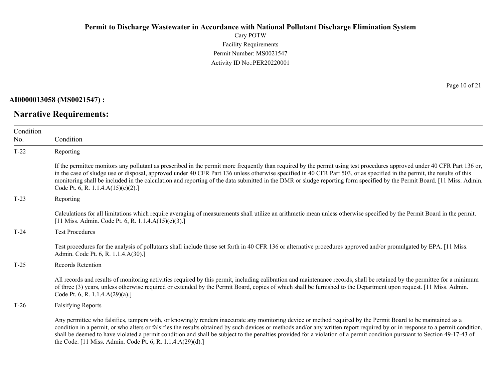Cary POTW Facility Requirements Permit Number: MS0021547 Activity ID No.:PER20220001

### **AI0000013058 (MS0021547) :**

### **Narrative Requirements:**

Page 10 of 21

| Condition |                                                                                                                                                                                                                                                                                                                                                                                                                                                                                                                                                                          |
|-----------|--------------------------------------------------------------------------------------------------------------------------------------------------------------------------------------------------------------------------------------------------------------------------------------------------------------------------------------------------------------------------------------------------------------------------------------------------------------------------------------------------------------------------------------------------------------------------|
| No.       | Condition                                                                                                                                                                                                                                                                                                                                                                                                                                                                                                                                                                |
| $T-22$    | Reporting                                                                                                                                                                                                                                                                                                                                                                                                                                                                                                                                                                |
|           | If the permittee monitors any pollutant as prescribed in the permit more frequently than required by the permit using test procedures approved under 40 CFR Part 136 or,<br>in the case of sludge use or disposal, approved under 40 CFR Part 136 unless otherwise specified in 40 CFR Part 503, or as specified in the permit, the results of this<br>monitoring shall be included in the calculation and reporting of the data submitted in the DMR or sludge reporting form specified by the Permit Board. [11 Miss. Admin.<br>Code Pt. 6, R. 1.1.4. $A(15)(c)(2)$ .] |
| $T-23$    | Reporting                                                                                                                                                                                                                                                                                                                                                                                                                                                                                                                                                                |
|           | Calculations for all limitations which require averaging of measurements shall utilize an arithmetic mean unless otherwise specified by the Permit Board in the permit.<br>[11 Miss. Admin. Code Pt. 6, R. 1.1.4.A(15)(c)(3).]                                                                                                                                                                                                                                                                                                                                           |
| $T-24$    | <b>Test Procedures</b>                                                                                                                                                                                                                                                                                                                                                                                                                                                                                                                                                   |
|           | Test procedures for the analysis of pollutants shall include those set forth in 40 CFR 136 or alternative procedures approved and/or promulgated by EPA. [11 Miss.<br>Admin. Code Pt. 6, R. 1.1.4.A(30).]                                                                                                                                                                                                                                                                                                                                                                |
| $T-25$    | Records Retention                                                                                                                                                                                                                                                                                                                                                                                                                                                                                                                                                        |
|           | All records and results of monitoring activities required by this permit, including calibration and maintenance records, shall be retained by the permittee for a minimum<br>of three (3) years, unless otherwise required or extended by the Permit Board, copies of which shall be furnished to the Department upon request. [11 Miss. Admin.<br>Code Pt. 6, R. 1.1.4.A(29)(a).]                                                                                                                                                                                       |
| $T-26$    | <b>Falsifying Reports</b>                                                                                                                                                                                                                                                                                                                                                                                                                                                                                                                                                |
|           | Any permittee who falsifies, tampers with, or knowingly renders inaccurate any monitoring device or method required by the Permit Board to be maintained as a<br>condition in a permit, or who alters or falsifies the results obtained by such devices or methods and/or any written report required by or in response to a permit condition,<br>shall be deemed to have violated a permit condition and shall be subject to the penalties provided for a violation of a permit condition pursuant to Section 49-17-43 of                                               |

the Code. [11 Miss. Admin. Code Pt. 6, R. 1.1.4.A(29)(d).]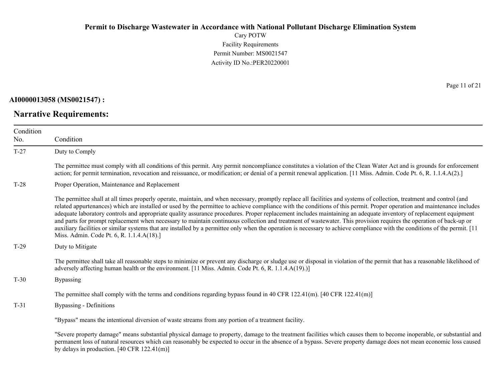Cary POTW Facility Requirements Permit Number: MS0021547 Activity ID No.:PER20220001

**AI0000013058 (MS0021547) :**

**Narrative Requirements:**

Page 11 of 21

| Condition<br>No. | Condition                                                                                                                                                                                                                                                                                                                                                                                                                                                                                                                                                                                                                                                                                                                                                                                                                                                                                                                 |
|------------------|---------------------------------------------------------------------------------------------------------------------------------------------------------------------------------------------------------------------------------------------------------------------------------------------------------------------------------------------------------------------------------------------------------------------------------------------------------------------------------------------------------------------------------------------------------------------------------------------------------------------------------------------------------------------------------------------------------------------------------------------------------------------------------------------------------------------------------------------------------------------------------------------------------------------------|
| $T-27$           | Duty to Comply                                                                                                                                                                                                                                                                                                                                                                                                                                                                                                                                                                                                                                                                                                                                                                                                                                                                                                            |
|                  | The permittee must comply with all conditions of this permit. Any permit noncompliance constitutes a violation of the Clean Water Act and is grounds for enforcement<br>action; for permit termination, revocation and reissuance, or modification; or denial of a permit renewal application. [11 Miss. Admin. Code Pt. 6, R. 1.1.4.A(2).]                                                                                                                                                                                                                                                                                                                                                                                                                                                                                                                                                                               |
| $T-28$           | Proper Operation, Maintenance and Replacement                                                                                                                                                                                                                                                                                                                                                                                                                                                                                                                                                                                                                                                                                                                                                                                                                                                                             |
|                  | The permittee shall at all times properly operate, maintain, and when necessary, promptly replace all facilities and systems of collection, treatment and control (and<br>related appurtenances) which are installed or used by the permittee to achieve compliance with the conditions of this permit. Proper operation and maintenance includes<br>adequate laboratory controls and appropriate quality assurance procedures. Proper replacement includes maintaining an adequate inventory of replacement equipment<br>and parts for prompt replacement when necessary to maintain continuous collection and treatment of wastewater. This provision requires the operation of back-up or<br>auxiliary facilities or similar systems that are installed by a permittee only when the operation is necessary to achieve compliance with the conditions of the permit. [11]<br>Miss. Admin. Code Pt. 6, R. 1.1.4.A(18).] |
| $T-29$           | Duty to Mitigate                                                                                                                                                                                                                                                                                                                                                                                                                                                                                                                                                                                                                                                                                                                                                                                                                                                                                                          |
|                  | The permittee shall take all reasonable steps to minimize or prevent any discharge or sludge use or disposal in violation of the permit that has a reasonable likelihood of<br>adversely affecting human health or the environment. [11 Miss. Admin. Code Pt. 6, R. 1.1.4.A(19).)]                                                                                                                                                                                                                                                                                                                                                                                                                                                                                                                                                                                                                                        |
| $T-30$           | <b>Bypassing</b>                                                                                                                                                                                                                                                                                                                                                                                                                                                                                                                                                                                                                                                                                                                                                                                                                                                                                                          |
|                  | The permittee shall comply with the terms and conditions regarding bypass found in 40 CFR 122.41(m). [40 CFR 122.41(m)]                                                                                                                                                                                                                                                                                                                                                                                                                                                                                                                                                                                                                                                                                                                                                                                                   |
| $T-31$           | Bypassing - Definitions                                                                                                                                                                                                                                                                                                                                                                                                                                                                                                                                                                                                                                                                                                                                                                                                                                                                                                   |
|                  | "Bypass" means the intentional diversion of waste streams from any portion of a treatment facility.                                                                                                                                                                                                                                                                                                                                                                                                                                                                                                                                                                                                                                                                                                                                                                                                                       |
|                  | "Severe property damage" means substantial physical damage to property, damage to the treatment facilities which causes them to become inoperable, or substantial and<br>permanent loss of natural resources which can reasonably be expected to occur in the absence of a bypass. Severe property damage does not mean economic loss caused<br>by delays in production. $[40 \text{ CFR } 122.41 \text{ (m)}]$                                                                                                                                                                                                                                                                                                                                                                                                                                                                                                           |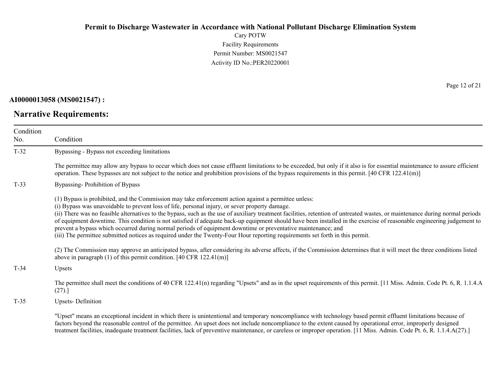Cary POTW Facility Requirements Permit Number: MS0021547 Activity ID No.:PER20220001

### **AI0000013058 (MS0021547) :**

# **Narrative Requirements:**

Page 12 of 21

| Condition<br>No. | Condition                                                                                                                                                                                                                                                                                                                                                                                                                                                                                                                                                                                                                                                                                                                                                                                                          |
|------------------|--------------------------------------------------------------------------------------------------------------------------------------------------------------------------------------------------------------------------------------------------------------------------------------------------------------------------------------------------------------------------------------------------------------------------------------------------------------------------------------------------------------------------------------------------------------------------------------------------------------------------------------------------------------------------------------------------------------------------------------------------------------------------------------------------------------------|
| $T-32$           | Bypassing - Bypass not exceeding limitations                                                                                                                                                                                                                                                                                                                                                                                                                                                                                                                                                                                                                                                                                                                                                                       |
|                  | The permittee may allow any bypass to occur which does not cause effluent limitations to be exceeded, but only if it also is for essential maintenance to assure efficient<br>operation. These bypasses are not subject to the notice and prohibition provisions of the bypass requirements in this permit. $[40 \text{ CFR } 122.41 \text{ (m)}]$                                                                                                                                                                                                                                                                                                                                                                                                                                                                 |
| $T-33$           | Bypassing-Prohibition of Bypass                                                                                                                                                                                                                                                                                                                                                                                                                                                                                                                                                                                                                                                                                                                                                                                    |
|                  | (1) Bypass is prohibited, and the Commission may take enforcement action against a permittee unless:<br>(i) Bypass was unavoidable to prevent loss of life, personal injury, or sever property damage.<br>(ii) There was no feasible alternatives to the bypass, such as the use of auxiliary treatment facilities, retention of untreated wastes, or maintenance during normal periods<br>of equipment downtime. This condition is not satisfied if adequate back-up equipment should have been installed in the exercise of reasonable engineering judgement to<br>prevent a bypass which occurred during normal periods of equipment downtime or preventative maintenance; and<br>(iii) The permittee submitted notices as required under the Twenty-Four Hour reporting requirements set forth in this permit. |
|                  | (2) The Commission may approve an anticipated bypass, after considering its adverse affects, if the Commission determines that it will meet the three conditions listed<br>above in paragraph $(1)$ of this permit condition. [40 CFR 122.41(m)]                                                                                                                                                                                                                                                                                                                                                                                                                                                                                                                                                                   |
| $T-34$           | Upsets                                                                                                                                                                                                                                                                                                                                                                                                                                                                                                                                                                                                                                                                                                                                                                                                             |
|                  | The permittee shall meet the conditions of 40 CFR 122.41(n) regarding "Upsets" and as in the upset requirements of this permit. [11 Miss. Admin. Code Pt. 6, R. 1.1.4.A<br>(27).                                                                                                                                                                                                                                                                                                                                                                                                                                                                                                                                                                                                                                   |
| $T-35$           | <b>Upsets-Definition</b>                                                                                                                                                                                                                                                                                                                                                                                                                                                                                                                                                                                                                                                                                                                                                                                           |
|                  | "Upset" means an exceptional incident in which there is unintentional and temporary noncompliance with technology based permit effluent limitations because of<br>factors beyond the reasonable control of the permittee. An upset does not include noncompliance to the extent caused by operational error, improperly designed<br>treatment facilities, inadequate treatment facilities, lack of preventive maintenance, or careless or improper operation. [11 Miss. Admin. Code Pt. 6, R. 1.1.4.A(27).]                                                                                                                                                                                                                                                                                                        |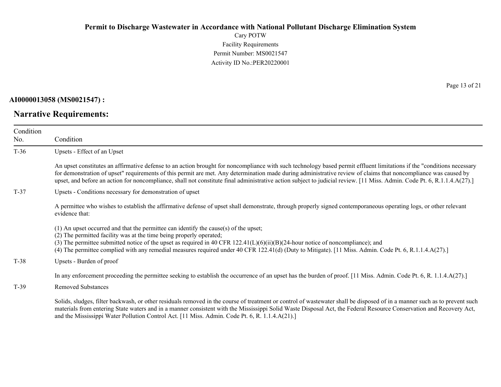Cary POTW Facility Requirements Permit Number: MS0021547 Activity ID No.:PER20220001

**AI0000013058 (MS0021547) :**

**Narrative Requirements:**

Page 13 of 21

| Condition<br>No. | Condition                                                                                                                                                                                                                                                                                                                                                                                                                                                                                                             |
|------------------|-----------------------------------------------------------------------------------------------------------------------------------------------------------------------------------------------------------------------------------------------------------------------------------------------------------------------------------------------------------------------------------------------------------------------------------------------------------------------------------------------------------------------|
| $T-36$           | Upsets - Effect of an Upset                                                                                                                                                                                                                                                                                                                                                                                                                                                                                           |
|                  | An upset constitutes an affirmative defense to an action brought for noncompliance with such technology based permit effluent limitations if the "conditions necessary<br>for demonstration of upset" requirements of this permit are met. Any determination made during administrative review of claims that noncompliance was caused by<br>upset, and before an action for noncompliance, shall not constitute final administrative action subject to judicial review. [11 Miss. Admin. Code Pt. 6, R.1.1.4.A(27).] |
| $T-37$           | Upsets - Conditions necessary for demonstration of upset                                                                                                                                                                                                                                                                                                                                                                                                                                                              |
|                  | A permittee who wishes to establish the affirmative defense of upset shall demonstrate, through properly signed contemporaneous operating logs, or other relevant<br>evidence that:                                                                                                                                                                                                                                                                                                                                   |
|                  | (1) An upset occurred and that the permittee can identify the cause(s) of the upset;<br>(2) The permitted facility was at the time being properly operated;<br>(3) The permittee submitted notice of the upset as required in 40 CFR $122.41(L)(6)(ii)(B)(24-hour notice of noncompliance)$ ; and<br>(4) The permittee complied with any remedial measures required under 40 CFR 122.41(d) (Duty to Mitigate). [11 Miss. Admin. Code Pt. 6, R.1.1.4.A(27).]                                                           |
| $T-38$           | Upsets - Burden of proof                                                                                                                                                                                                                                                                                                                                                                                                                                                                                              |
|                  | In any enforcement proceeding the permittee seeking to establish the occurrence of an upset has the burden of proof. [11 Miss. Admin. Code Pt. 6, R. 1.1.4.A(27).]                                                                                                                                                                                                                                                                                                                                                    |
| $T-39$           | <b>Removed Substances</b>                                                                                                                                                                                                                                                                                                                                                                                                                                                                                             |
|                  | Solids, sludges, filter backwash, or other residuals removed in the course of treatment or control of wastewater shall be disposed of in a manner such as to prevent such<br>materials from entering State waters and in a manner consistent with the Mississippi Solid Waste Disposal Act, the Federal Resource Conservation and Recovery Act,<br>and the Mississippi Water Pollution Control Act. [11 Miss. Admin. Code Pt. 6, R. 1.1.4.A(21).]                                                                     |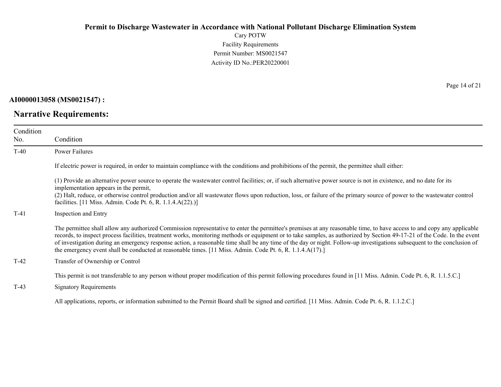Cary POTW Facility Requirements Permit Number: MS0021547 Activity ID No.:PER20220001

**AI0000013058 (MS0021547) :**

**Narrative Requirements:**

Page 14 of 21

| Condition<br>No. | Condition                                                                                                                                                                                                                                                                                                                                                                                                                                                                                                                                                                                                                                  |
|------------------|--------------------------------------------------------------------------------------------------------------------------------------------------------------------------------------------------------------------------------------------------------------------------------------------------------------------------------------------------------------------------------------------------------------------------------------------------------------------------------------------------------------------------------------------------------------------------------------------------------------------------------------------|
| $T-40$           | <b>Power Failures</b>                                                                                                                                                                                                                                                                                                                                                                                                                                                                                                                                                                                                                      |
|                  | If electric power is required, in order to maintain compliance with the conditions and prohibitions of the permit, the permittee shall either:                                                                                                                                                                                                                                                                                                                                                                                                                                                                                             |
|                  | (1) Provide an alternative power source to operate the wastewater control facilities; or, if such alternative power source is not in existence, and no date for its<br>implementation appears in the permit,<br>(2) Halt, reduce, or otherwise control production and/or all wastewater flows upon reduction, loss, or failure of the primary source of power to the wastewater control<br>facilities. [11 Miss. Admin. Code Pt. 6, R. 1.1.4.A(22).)]                                                                                                                                                                                      |
| $T-41$           | Inspection and Entry                                                                                                                                                                                                                                                                                                                                                                                                                                                                                                                                                                                                                       |
|                  | The permittee shall allow any authorized Commission representative to enter the permittee's premises at any reasonable time, to have access to and copy any applicable<br>records, to inspect process facilities, treatment works, monitoring methods or equipment or to take samples, as authorized by Section 49-17-21 of the Code. In the event<br>of investigation during an emergency response action, a reasonable time shall be any time of the day or night. Follow-up investigations subsequent to the conclusion of<br>the emergency event shall be conducted at reasonable times. [11 Miss. Admin. Code Pt. 6, R. 1.1.4.A(17).] |
| $T-42$           | Transfer of Ownership or Control                                                                                                                                                                                                                                                                                                                                                                                                                                                                                                                                                                                                           |
| $T-43$           | This permit is not transferable to any person without proper modification of this permit following procedures found in [11 Miss. Admin. Code Pt. 6, R. 1.1.5.C.]<br><b>Signatory Requirements</b>                                                                                                                                                                                                                                                                                                                                                                                                                                          |
|                  | All applications, reports, or information submitted to the Permit Board shall be signed and certified. [11 Miss. Admin. Code Pt. 6, R. 1.1.2.C.]                                                                                                                                                                                                                                                                                                                                                                                                                                                                                           |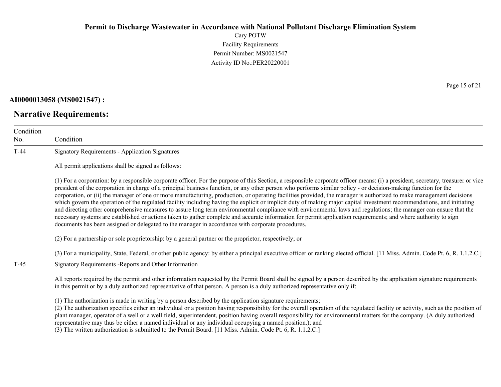Cary POTW Facility Requirements Permit Number: MS0021547 Activity ID No.:PER20220001

#### **AI0000013058 (MS0021547) :**

### **Narrative Requirements:**

Page 15 of 21

| Condition<br>No. | Condition                                                                                                                                                                                                                                                                                                                                                                                                                                                                                                                                                                                                                                                                                                                                                                                                                                                                                                                                                                                                                                                                                                                                      |
|------------------|------------------------------------------------------------------------------------------------------------------------------------------------------------------------------------------------------------------------------------------------------------------------------------------------------------------------------------------------------------------------------------------------------------------------------------------------------------------------------------------------------------------------------------------------------------------------------------------------------------------------------------------------------------------------------------------------------------------------------------------------------------------------------------------------------------------------------------------------------------------------------------------------------------------------------------------------------------------------------------------------------------------------------------------------------------------------------------------------------------------------------------------------|
| $T-44$           | <b>Signatory Requirements - Application Signatures</b>                                                                                                                                                                                                                                                                                                                                                                                                                                                                                                                                                                                                                                                                                                                                                                                                                                                                                                                                                                                                                                                                                         |
|                  | All permit applications shall be signed as follows:                                                                                                                                                                                                                                                                                                                                                                                                                                                                                                                                                                                                                                                                                                                                                                                                                                                                                                                                                                                                                                                                                            |
|                  | (1) For a corporation: by a responsible corporate officer. For the purpose of this Section, a responsible corporate officer means: (i) a president, secretary, treasurer or vice<br>president of the corporation in charge of a principal business function, or any other person who performs similar policy - or decision-making function for the<br>corporation, or (ii) the manager of one or more manufacturing, production, or operating facilities provided, the manager is authorized to make management decisions<br>which govern the operation of the regulated facility including having the explicit or implicit duty of making major capital investment recommendations, and initiating<br>and directing other comprehensive measures to assure long term environmental compliance with environmental laws and regulations; the manager can ensure that the<br>necessary systems are established or actions taken to gather complete and accurate information for permit application requirements; and where authority to sign<br>documents has been assigned or delegated to the manager in accordance with corporate procedures. |
|                  | (2) For a partnership or sole proprietorship: by a general partner or the proprietor, respectively; or                                                                                                                                                                                                                                                                                                                                                                                                                                                                                                                                                                                                                                                                                                                                                                                                                                                                                                                                                                                                                                         |
|                  | (3) For a municipality, State, Federal, or other public agency: by either a principal executive officer or ranking elected official. [11 Miss. Admin. Code Pt. 6, R. 1.1.2.C.]                                                                                                                                                                                                                                                                                                                                                                                                                                                                                                                                                                                                                                                                                                                                                                                                                                                                                                                                                                 |
| $T-45$           | Signatory Requirements - Reports and Other Information                                                                                                                                                                                                                                                                                                                                                                                                                                                                                                                                                                                                                                                                                                                                                                                                                                                                                                                                                                                                                                                                                         |
|                  | All reports required by the permit and other information requested by the Permit Board shall be signed by a person described by the application signature requirements<br>in this permit or by a duly authorized representative of that person. A person is a duly authorized representative only if:                                                                                                                                                                                                                                                                                                                                                                                                                                                                                                                                                                                                                                                                                                                                                                                                                                          |
|                  | (1) The authorization is made in writing by a person described by the application signature requirements;<br>(2) The authorization specifies either an individual or a position having responsibility for the overall operation of the regulated facility or activity, such as the position of<br>plant manager, operator of a well or a well field, superintendent, position having overall responsibility for environmental matters for the company. (A duly authorized<br>representative may thus be either a named individual or any individual occupying a named position.); and                                                                                                                                                                                                                                                                                                                                                                                                                                                                                                                                                          |

(3) The written authorization is submitted to the Permit Board. [11 Miss. Admin. Code Pt. 6, R. 1.1.2.C.]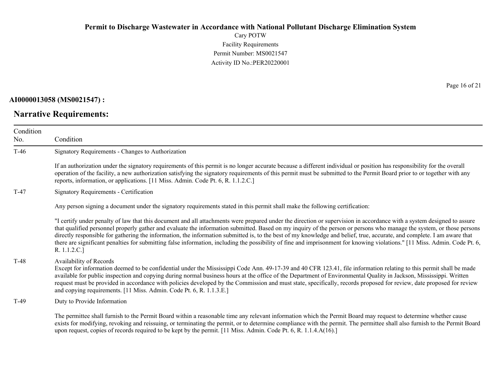Cary POTW Facility Requirements Permit Number: MS0021547 Activity ID No.:PER20220001

### **AI0000013058 (MS0021547) :**

# **Narrative Requirements:**

Page 16 of 21

| Condition<br>No. | Condition                                                                                                                                                                                                                                                                                                                                                                                                                                                                                                                                                                                                                                                                                                                |
|------------------|--------------------------------------------------------------------------------------------------------------------------------------------------------------------------------------------------------------------------------------------------------------------------------------------------------------------------------------------------------------------------------------------------------------------------------------------------------------------------------------------------------------------------------------------------------------------------------------------------------------------------------------------------------------------------------------------------------------------------|
| $T-46$           | Signatory Requirements - Changes to Authorization                                                                                                                                                                                                                                                                                                                                                                                                                                                                                                                                                                                                                                                                        |
|                  | If an authorization under the signatory requirements of this permit is no longer accurate because a different individual or position has responsibility for the overall<br>operation of the facility, a new authorization satisfying the signatory requirements of this permit must be submitted to the Permit Board prior to or together with any<br>reports, information, or applications. [11 Miss. Admin. Code Pt. 6, R. 1.1.2.C.]                                                                                                                                                                                                                                                                                   |
| $T-47$           | <b>Signatory Requirements - Certification</b>                                                                                                                                                                                                                                                                                                                                                                                                                                                                                                                                                                                                                                                                            |
|                  | Any person signing a document under the signatory requirements stated in this permit shall make the following certification:                                                                                                                                                                                                                                                                                                                                                                                                                                                                                                                                                                                             |
|                  | "I certify under penalty of law that this document and all attachments were prepared under the direction or supervision in accordance with a system designed to assure<br>that qualified personnel properly gather and evaluate the information submitted. Based on my inquiry of the person or persons who manage the system, or those persons<br>directly responsible for gathering the information, the information submitted is, to the best of my knowledge and belief, true, accurate, and complete. I am aware that<br>there are significant penalties for submitting false information, including the possibility of fine and imprisonment for knowing violations." [11 Miss. Admin. Code Pt. 6,<br>R. 1.1.2.C.] |
| $T-48$           | Availability of Records<br>Except for information deemed to be confidential under the Mississippi Code Ann. 49-17-39 and 40 CFR 123.41, file information relating to this permit shall be made<br>available for public inspection and copying during normal business hours at the office of the Department of Environmental Quality in Jackson, Mississippi. Written<br>request must be provided in accordance with policies developed by the Commission and must state, specifically, records proposed for review, date proposed for review<br>and copying requirements. [11 Miss. Admin. Code Pt. 6, R. 1.1.3.E.]                                                                                                      |
| $T-49$           | Duty to Provide Information                                                                                                                                                                                                                                                                                                                                                                                                                                                                                                                                                                                                                                                                                              |
|                  | The permittee shall furnish to the Permit Board within a reasonable time any relevant information which the Permit Board may request to determine whether cause<br>exists for modifying, revoking and reissuing, or terminating the permit, or to determine compliance with the permit. The permittee shall also furnish to the Permit Board<br>upon request, copies of records required to be kept by the permit. [11 Miss. Admin. Code Pt. 6, R. 1.1.4.A(16).]                                                                                                                                                                                                                                                         |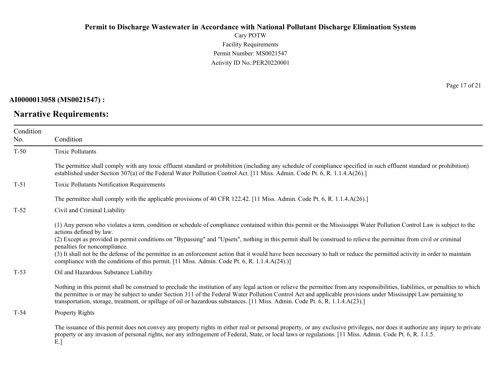Cary POTW Facility Requirements Permit Number: MS0021547 Activity ID No.:PER20220001

### **AI0000013058 (MS0021547) :**

# **Narrative Requirements:**

Page 17 of 21

| Condition |                                                                                                                                                                                                                                                                                                                                                                                                                                                                                       |
|-----------|---------------------------------------------------------------------------------------------------------------------------------------------------------------------------------------------------------------------------------------------------------------------------------------------------------------------------------------------------------------------------------------------------------------------------------------------------------------------------------------|
| No.       | Condition                                                                                                                                                                                                                                                                                                                                                                                                                                                                             |
| $T-50$    | <b>Toxic Pollutants</b>                                                                                                                                                                                                                                                                                                                                                                                                                                                               |
|           | The permittee shall comply with any toxic effluent standard or prohibition (including any schedule of compliance specified in such effluent standard or prohibition)<br>established under Section 307(a) of the Federal Water Pollution Control Act. [11 Miss. Admin. Code Pt. 6, R. 1.1.4.A(26).]                                                                                                                                                                                    |
| $T-51$    | <b>Toxic Pollutants Notification Requirements</b>                                                                                                                                                                                                                                                                                                                                                                                                                                     |
|           | The permittee shall comply with the applicable provisions of 40 CFR 122.42. [11 Miss. Admin. Code Pt. 6, R. 1.1.4.A(26).]                                                                                                                                                                                                                                                                                                                                                             |
| $T-52$    | Civil and Criminal Liability                                                                                                                                                                                                                                                                                                                                                                                                                                                          |
|           | (1) Any person who violates a term, condition or schedule of compliance contained within this permit or the Mississippi Water Pollution Control Law is subject to the<br>actions defined by law.<br>(2) Except as provided in permit conditions on "Bypassing" and "Upsets", nothing in this permit shall be construed to relieve the permittee from civil or criminal<br>penalties for noncompliance.                                                                                |
|           | (3) It shall not be the defense of the permittee in an enforcement action that it would have been necessary to halt or reduce the permitted activity in order to maintain<br>compliance with the conditions of this permit. [11 Miss. Admin. Code Pt. 6, R. 1.1.4.A(24).)]                                                                                                                                                                                                            |
| $T-53$    | Oil and Hazardous Substance Liability                                                                                                                                                                                                                                                                                                                                                                                                                                                 |
|           | Nothing in this permit shall be construed to preclude the institution of any legal action or relieve the permittee from any responsibilities, liabilities, or penalties to which<br>the permittee is or may be subject to under Section 311 of the Federal Water Pollution Control Act and applicable provisions under Mississippi Law pertaining to<br>transportation, storage, treatment, or spillage of oil or hazardous substances. [11 Miss. Admin. Code Pt. 6, R. 1.1.4.A(23).] |
| $T-54$    | Property Rights                                                                                                                                                                                                                                                                                                                                                                                                                                                                       |
|           | The issuance of this permit does not convey any property rights in either real or personal property, or any exclusive privileges, nor does it authorize any injury to private<br>property or any invasion of personal rights, nor any infringement of Federal, State, or local laws or regulations. [11 Miss. Admin. Code Pt. 6, R. 1.1.5.                                                                                                                                            |

E.]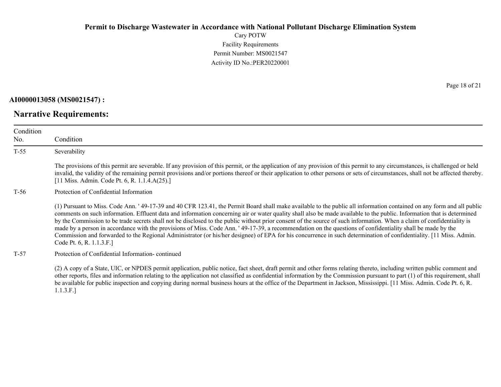Cary POTW Facility Requirements Permit Number: MS0021547 Activity ID No.:PER20220001

#### **AI0000013058 (MS0021547) :**

T-55 Severability

Condition No.

### **Narrative Requirements:**

Condition

The provisions of this permit are severable. If any provision of this permit, or the application of any provision of this permit to any circumstances, is challenged or held invalid, the validity of the remaining permit provisions and/or portions thereof or their application to other persons or sets of circumstances, shall not be affected thereby. [11 Miss. Admin. Code Pt. 6, R. 1.1.4.A(25).]

#### T-56 Protection of Confidential Information

(1) Pursuant to Miss. Code Ann. ' 49-17-39 and 40 CFR 123.41, the Permit Board shall make available to the public all information contained on any form and all public comments on such information. Effluent data and information concerning air or water quality shall also be made available to the public. Information that is determined by the Commission to be trade secrets shall not be disclosed to the public without prior consent of the source of such information. When a claim of confidentiality is made by a person in accordance with the provisions of Miss. Code Ann. ' 49-17-39, a recommendation on the questions of confidentiality shall be made by the Commission and forwarded to the Regional Administrator (or his/her designee) of EPA for his concurrence in such determination of confidentiality. [11 Miss. Admin. Code Pt. 6, R. 1.1.3.F.]

#### T-57 Protection of Confidential Information- continued

(2) A copy of a State, UIC, or NPDES permit application, public notice, fact sheet, draft permit and other forms relating thereto, including written public comment and other reports, files and information relating to the application not classified as confidential information by the Commission pursuant to part (1) of this requirement, shall be available for public inspection and copying during normal business hours at the office of the Department in Jackson, Mississippi. [11 Miss. Admin. Code Pt. 6, R. 1.1.3.F.]

Page 18 of 21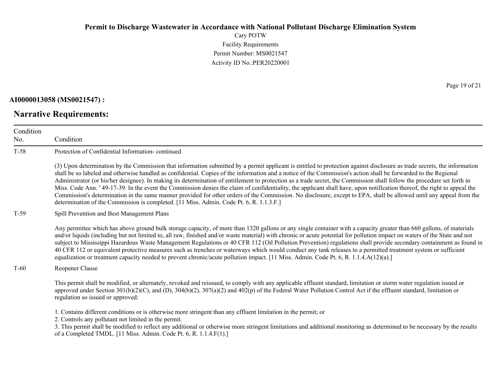Cary POTW Facility Requirements Permit Number: MS0021547 Activity ID No.:PER20220001

### **AI0000013058 (MS0021547) :**

# **Narrative Requirements:**

Page 19 of 21

| Condition<br>No. | Condition                                                                                                                                                                                                                                                                                                                                                                                                                                                                                                                                                                                                                                                                                                                                                                                                                                                                                                                                                            |
|------------------|----------------------------------------------------------------------------------------------------------------------------------------------------------------------------------------------------------------------------------------------------------------------------------------------------------------------------------------------------------------------------------------------------------------------------------------------------------------------------------------------------------------------------------------------------------------------------------------------------------------------------------------------------------------------------------------------------------------------------------------------------------------------------------------------------------------------------------------------------------------------------------------------------------------------------------------------------------------------|
| $T-58$           | Protection of Confidential Information-continued                                                                                                                                                                                                                                                                                                                                                                                                                                                                                                                                                                                                                                                                                                                                                                                                                                                                                                                     |
|                  | (3) Upon determination by the Commission that information submitted by a permit applicant is entitled to protection against disclosure as trade secrets, the information<br>shall be so labeled and otherwise handled as confidential. Copies of the information and a notice of the Commission's action shall be forwarded to the Regional<br>Administrator (or his/her designee). In making its determination of entitlement to protection as a trade secret, the Commission shall follow the procedure set forth in<br>Miss. Code Ann. '49-17-39. In the event the Commission denies the claim of confidentiality, the applicant shall have, upon notification thereof, the right to appeal the<br>Commission's determination in the same manner provided for other orders of the Commission. No disclosure, except to EPA, shall be allowed until any appeal from the<br>determination of the Commission is completed. [11 Miss. Admin. Code Pt. 6, R. 1.1.3.F.] |
| $T-59$           | Spill Prevention and Best Management Plans                                                                                                                                                                                                                                                                                                                                                                                                                                                                                                                                                                                                                                                                                                                                                                                                                                                                                                                           |
|                  | Any permittee which has above ground bulk storage capacity, of more than 1320 gallons or any single container with a capacity greater than 660 gallons, of materials<br>and/or liquids (including but not limited to, all raw, finished and/or waste material) with chronic or acute potential for pollution impact on waters of the State and not<br>subject to Mississippi Hazardous Waste Management Regulations or 40 CFR 112 (Oil Pollution Prevention) regulations shall provide secondary containment as found in<br>40 CFR 112 or equivalent protective measures such as trenches or waterways which would conduct any tank releases to a permitted treatment system or sufficient<br>equalization or treatment capacity needed to prevent chronic/acute pollution impact. [11 Miss. Admin. Code Pt. 6, R. 1.1.4.A(12)(a).]                                                                                                                                  |
| $T-60$           | Reopener Clause                                                                                                                                                                                                                                                                                                                                                                                                                                                                                                                                                                                                                                                                                                                                                                                                                                                                                                                                                      |
|                  | This permit shall be modified, or alternately, revoked and reissued, to comply with any applicable effluent standard, limitation or storm water regulation issued or<br>approved under Section 301(b)(2)(C), and (D), 304(b)(2), 307(a)(2) and 402(p) of the Federal Water Pollution Control Act if the effluent standard, limitation or<br>regulation so issued or approved:                                                                                                                                                                                                                                                                                                                                                                                                                                                                                                                                                                                        |
|                  | 1. Contains different conditions or is otherwise more stringent than any effluent limitation in the permit; or<br>2. Controls any pollutant not limited in the permit.<br>3. This permit shall be modified to reflect any additional or otherwise more stringent limitations and additional monitoring as determined to be necessary by the results<br>of a Completed TMDL. [11 Miss. Admin. Code Pt. 6, R. 1.1.4.F(1).]                                                                                                                                                                                                                                                                                                                                                                                                                                                                                                                                             |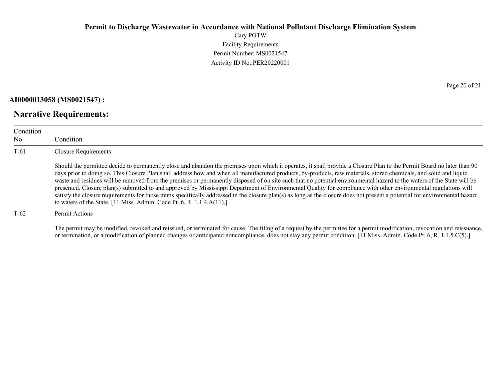Cary POTW Facility Requirements Permit Number: MS0021547 Activity ID No.:PER20220001

#### **AI0000013058 (MS0021547) :**

### **Narrative Requirements:**

Condition No. Condition T-61 Closure Requirements Should the permittee decide to permanently close and abandon the premises upon which it operates, it shall provide a Closure Plan to the Permit Board no later than 90 days prior to doing so. This Closure Plan shall address how and when all manufactured products, by-products, raw materials, stored chemicals, and solid and liquid waste and residues will be removed from the premises or permanently disposed of on site such that no potential environmental hazard to the waters of the State will be presented. Closure plan(s) submitted to and approved by Mississippi Department of Environmental Quality for compliance with other environmental regulations will satisfy the closure requirements for those items specifically addressed in the closure plan(s) as long as the closure does not present a potential for environmental hazard to waters of the State. [11 Miss. Admin. Code Pt. 6, R. 1.1.4.A(11).]

#### T-62 Permit Actions

The permit may be modified, revoked and reissued, or terminated for cause. The filing of a request by the permittee for a permit modification, revocation and reissuance, or termination, or a modification of planned changes or anticipated noncompliance, does not stay any permit condition. [11 Miss. Admin. Code Pt. 6, R. 1.1.5.C(5).]

Page 20 of 21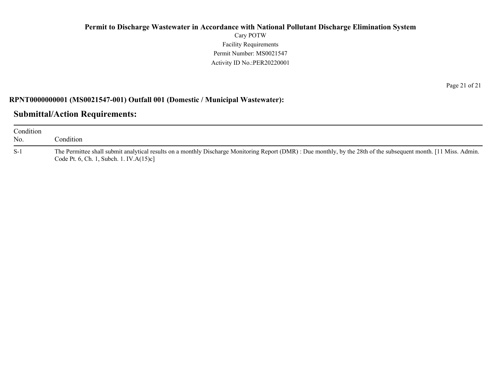### **Permit to Discharge Wastewater in Accordance with National Pollutant Discharge Elimination System** Cary POTW Facility Requirements Permit Number: MS0021547 Activity ID No.:PER20220001

#### **RPNT0000000001 (MS0021547-001) Outfall 001 (Domestic / Municipal Wastewater):**

### **Submittal/Action Requirements:**

| Condition<br>No. | Condition                                                                                                                                                                                                   |
|------------------|-------------------------------------------------------------------------------------------------------------------------------------------------------------------------------------------------------------|
| $S-1$            | The Permittee shall submit analytical results on a monthly Discharge Monitoring Report (DMR): Due monthly, by the 28th of the subsequent month. [11 Miss. Admin.<br>Code Pt. 6, Ch. 1, Subch. 1. IV.A(15)c] |